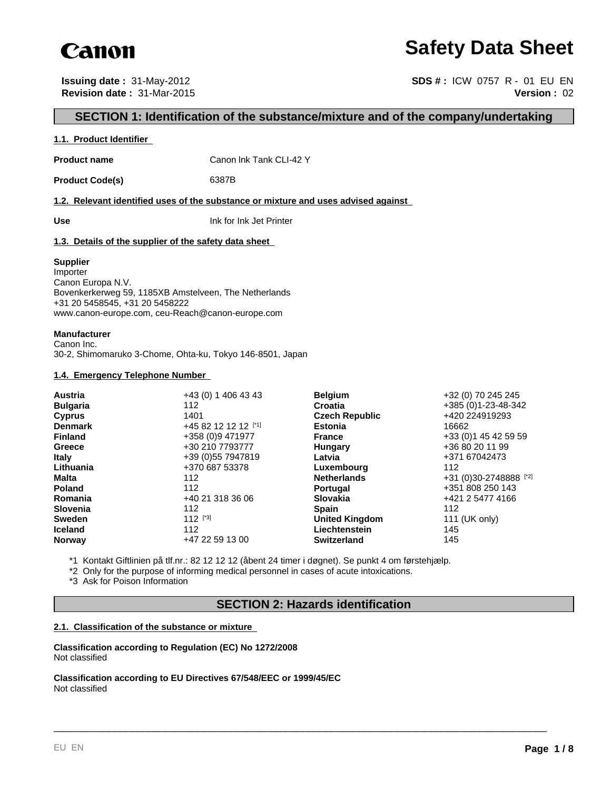

## **Safety Data Sheet**

**Issuing date :** 31-May-2012 **SDS # :** ICW 0757 R - 01 EU EN **Revision date :** 31-Mar-2015 **Version :** 02

## **SECTION 1: Identification of the substance/mixture and of the company/undertaking**

#### **1.1. Product Identifier**

**Product name** Canon Ink Tank CLI-42 Y

Product Code(s) 6387B

**1.2. Relevant identified uses of the substance or mixture and uses advised against** 

**Use** Ink for Ink Jet Printer

#### **1.3. Details of the supplier of the safety data sheet**

#### **Supplier**

Importer Canon Europa N.V. Bovenkerkerweg 59, 1185XB Amstelveen, The Netherlands +31 20 5458545, +31 20 5458222 www.canon-europe.com, ceu-Reach@canon-europe.com

#### **Manufacturer**

Canon Inc. 30-2, Shimomaruko 3-Chome, Ohta-ku, Tokyo 146-8501, Japan

#### **1.4. Emergency Telephone Number**

| Austria         | +43 (0) 1 406 43 43  | <b>Belgium</b>        | +32 (0) 70 245 245     |
|-----------------|----------------------|-----------------------|------------------------|
| <b>Bulgaria</b> | 112                  | <b>Croatia</b>        | +385 (0) 1-23-48-342   |
| <b>Cyprus</b>   | 1401                 | <b>Czech Republic</b> | +420 224919293         |
| <b>Denmark</b>  | +45 82 12 12 12 [*1] | <b>Estonia</b>        | 16662                  |
| <b>Finland</b>  | +358 (0)9 471977     | <b>France</b>         | +33 (0) 1 45 42 59 59  |
| Greece          | +30 210 7793777      | Hungary               | +36 80 20 11 99        |
| <b>Italy</b>    | +39 (0) 55 7947819   | Latvia                | +371 67042473          |
| Lithuania       | +370 687 53378       | Luxembourg            | 112                    |
| <b>Malta</b>    | 112                  | <b>Netherlands</b>    | +31 (0)30-2748888 [*2] |
| <b>Poland</b>   | 112                  | <b>Portugal</b>       | +351 808 250 143       |
| Romania         | +40 21 318 36 06     | <b>Slovakia</b>       | +421 2 5477 4166       |
| <b>Slovenia</b> | 112                  | <b>Spain</b>          | 112                    |
| <b>Sweden</b>   | $112$ [*3]           | <b>United Kingdom</b> | 111 (UK only)          |
| <b>Iceland</b>  | 112                  | Liechtenstein         | 145                    |
| <b>Norway</b>   | +47 22 59 13 00      | <b>Switzerland</b>    | 145                    |

\*1 Kontakt Giftlinien på tlf.nr.: 82 12 12 12 (åbent 24 timer i døgnet). Se punkt 4 om førstehjælp.

\*2 Only for the purpose of informing medical personnel in cases of acute intoxications.

\*3 Ask for Poison Information

## **SECTION 2: Hazards identification**

\_\_\_\_\_\_\_\_\_\_\_\_\_\_\_\_\_\_\_\_\_\_\_\_\_\_\_\_\_\_\_\_\_\_\_\_\_\_\_\_\_\_\_\_\_\_\_\_\_\_\_\_\_\_\_\_\_\_\_\_\_\_\_\_\_\_\_\_\_\_\_\_\_\_\_\_\_\_\_\_\_\_\_\_\_\_\_\_\_

#### **2.1. Classification of the substance or mixture**

**Classification according to Regulation (EC) No 1272/2008** Not classified

**Classification according to EU Directives 67/548/EEC or 1999/45/EC** Not classified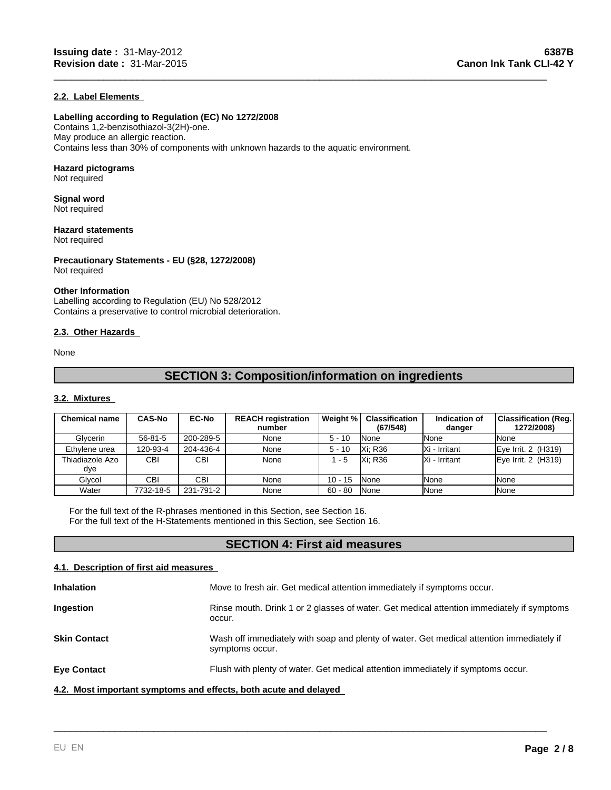#### **2.2. Label Elements**

#### **Labelling according to Regulation (EC) No 1272/2008**

Contains 1,2-benzisothiazol-3(2H)-one. May produce an allergic reaction. Contains less than 30% of components with unknown hazards to the aquatic environment.

#### **Hazard pictograms**

Not required

#### **Signal word** Not required

**Hazard statements**

Not required

**Precautionary Statements - EU (§28, 1272/2008)** Not required

#### **Other Information**

Labelling according to Regulation (EU) No 528/2012 Contains a preservative to control microbial deterioration.

#### **2.3. Other Hazards**

None

## **SECTION 3: Composition/information on ingredients**

\_\_\_\_\_\_\_\_\_\_\_\_\_\_\_\_\_\_\_\_\_\_\_\_\_\_\_\_\_\_\_\_\_\_\_\_\_\_\_\_\_\_\_\_\_\_\_\_\_\_\_\_\_\_\_\_\_\_\_\_\_\_\_\_\_\_\_\_\_\_\_\_\_\_\_\_\_\_\_\_\_\_\_\_\_\_\_\_\_

#### **3.2. Mixtures**

| <b>Chemical name</b>   | <b>CAS-No</b> | <b>EC-No</b> | <b>REACH registration</b><br>number | Weight %  | Classification<br>(67/548) | Indication of<br>danger | Classification (Reg.)<br>1272/2008) |
|------------------------|---------------|--------------|-------------------------------------|-----------|----------------------------|-------------------------|-------------------------------------|
| Glycerin               | $56 - 81 - 5$ | 200-289-5    | None                                | $5 - 10$  | <b>None</b>                | <b>I</b> None           | None                                |
| Ethylene urea          | 120-93-4      | 204-436-4    | None                                | $5 - 10$  | <b>Xi: R36</b>             | IXi - Irritant          | Eye Irrit. 2 (H319)                 |
| Thiadiazole Azo<br>dye | <b>CBI</b>    | CBI          | None                                | 1 - 5     | <b>Xi: R36</b>             | IXi - Irritant          | Eye Irrit. 2 (H319)                 |
| Glvcol                 | CBI           | <b>CBI</b>   | None                                | $10 - 15$ | <b>None</b>                | <b>I</b> None           | None                                |
| Water                  | 7732-18-5     | 231-791-2    | None                                | $60 - 80$ | None                       | <b>INone</b>            | None                                |

For the full text of the R-phrases mentioned in this Section, see Section 16. For the full text of the H-Statements mentioned in this Section, see Section 16.

## **SECTION 4: First aid measures**

#### **4.1. Description of first aid measures**

| <b>Inhalation</b>                                                | Move to fresh air. Get medical attention immediately if symptoms occur.                                     |
|------------------------------------------------------------------|-------------------------------------------------------------------------------------------------------------|
| Ingestion                                                        | Rinse mouth. Drink 1 or 2 glasses of water. Get medical attention immediately if symptoms<br>occur.         |
| <b>Skin Contact</b>                                              | Wash off immediately with soap and plenty of water. Get medical attention immediately if<br>symptoms occur. |
| <b>Eye Contact</b>                                               | Flush with plenty of water. Get medical attention immediately if symptoms occur.                            |
| 4.2. Most important symptoms and effects, both acute and delayed |                                                                                                             |

\_\_\_\_\_\_\_\_\_\_\_\_\_\_\_\_\_\_\_\_\_\_\_\_\_\_\_\_\_\_\_\_\_\_\_\_\_\_\_\_\_\_\_\_\_\_\_\_\_\_\_\_\_\_\_\_\_\_\_\_\_\_\_\_\_\_\_\_\_\_\_\_\_\_\_\_\_\_\_\_\_\_\_\_\_\_\_\_\_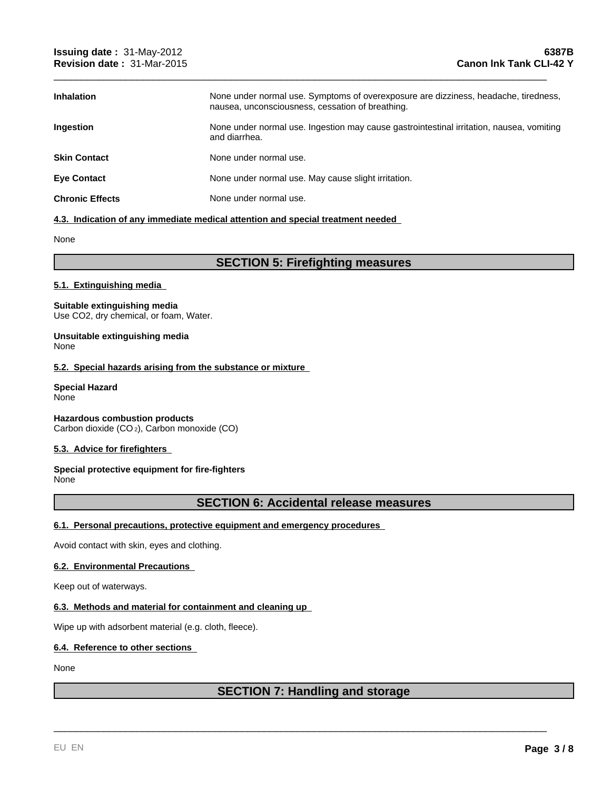| <b>Inhalation</b>      | None under normal use. Symptoms of overexposure are dizziness, headache, tiredness,<br>nausea, unconsciousness, cessation of breathing. |
|------------------------|-----------------------------------------------------------------------------------------------------------------------------------------|
| <b>Ingestion</b>       | None under normal use. Ingestion may cause gastrointestinal irritation, nausea, vomiting<br>and diarrhea.                               |
| <b>Skin Contact</b>    | None under normal use.                                                                                                                  |
| <b>Eve Contact</b>     | None under normal use. May cause slight irritation.                                                                                     |
| <b>Chronic Effects</b> | None under normal use.                                                                                                                  |

\_\_\_\_\_\_\_\_\_\_\_\_\_\_\_\_\_\_\_\_\_\_\_\_\_\_\_\_\_\_\_\_\_\_\_\_\_\_\_\_\_\_\_\_\_\_\_\_\_\_\_\_\_\_\_\_\_\_\_\_\_\_\_\_\_\_\_\_\_\_\_\_\_\_\_\_\_\_\_\_\_\_\_\_\_\_\_\_\_

#### **4.3. Indication of any immediate medical attention and special treatment needed**

None

## **SECTION 5: Firefighting measures**

#### **5.1. Extinguishing media**

#### **Suitable extinguishing media** Use CO2, dry chemical, or foam, Water.

#### **Unsuitable extinguishing media** None

#### **5.2. Special hazards arising from the substance or mixture**

#### **Special Hazard** None

**Hazardous combustion products** Carbon dioxide (CO 2), Carbon monoxide (CO)

#### **5.3. Advice for firefighters**

#### **Special protective equipment for fire-fighters** None

## **SECTION 6: Accidental release measures**

#### **6.1. Personal precautions, protective equipment and emergency procedures**

Avoid contact with skin, eyes and clothing.

#### **6.2. Environmental Precautions**

Keep out of waterways.

#### **6.3. Methods and material for containment and cleaning up**

Wipe up with adsorbent material (e.g. cloth, fleece).

#### **6.4. Reference to other sections**

#### None

## **SECTION 7: Handling and storage**

\_\_\_\_\_\_\_\_\_\_\_\_\_\_\_\_\_\_\_\_\_\_\_\_\_\_\_\_\_\_\_\_\_\_\_\_\_\_\_\_\_\_\_\_\_\_\_\_\_\_\_\_\_\_\_\_\_\_\_\_\_\_\_\_\_\_\_\_\_\_\_\_\_\_\_\_\_\_\_\_\_\_\_\_\_\_\_\_\_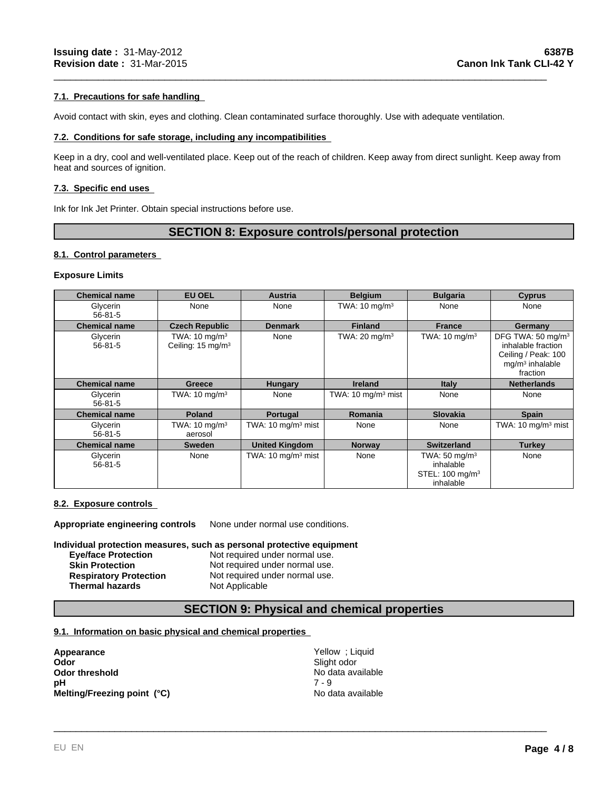#### **7.1. Precautions for safe handling**

Avoid contact with skin, eyes and clothing. Clean contaminated surface thoroughly. Use with adequate ventilation.

#### **7.2. Conditions for safe storage, including any incompatibilities**

Keep in a dry, cool and well-ventilated place. Keep out of the reach of children. Keep away from direct sunlight. Keep away from heat and sources of ignition.

\_\_\_\_\_\_\_\_\_\_\_\_\_\_\_\_\_\_\_\_\_\_\_\_\_\_\_\_\_\_\_\_\_\_\_\_\_\_\_\_\_\_\_\_\_\_\_\_\_\_\_\_\_\_\_\_\_\_\_\_\_\_\_\_\_\_\_\_\_\_\_\_\_\_\_\_\_\_\_\_\_\_\_\_\_\_\_\_\_

#### **7.3. Specific end uses**

Ink for Ink Jet Printer. Obtain special instructions before use.

### **SECTION 8: Exposure controls/personal protection**

#### **8.1. Control parameters**

#### **Exposure Limits**

| <b>Chemical name</b>      | <b>EU OEL</b>                                             | <b>Austria</b>                 | <b>Belgium</b>                | <b>Bulgaria</b>                                                           | <b>Cyprus</b>                                                                                               |
|---------------------------|-----------------------------------------------------------|--------------------------------|-------------------------------|---------------------------------------------------------------------------|-------------------------------------------------------------------------------------------------------------|
| Glycerin<br>$56 - 81 - 5$ | None                                                      | None                           | TWA: $10 \text{ mg/m}^3$      | None                                                                      | None                                                                                                        |
| <b>Chemical name</b>      | <b>Czech Republic</b>                                     | <b>Denmark</b>                 | <b>Finland</b>                | <b>France</b>                                                             | Germany                                                                                                     |
| Glycerin<br>$56 - 81 - 5$ | TWA: $10 \text{ mg/m}^3$<br>Ceiling: 15 mg/m <sup>3</sup> | None                           | TWA: $20 \text{ mg/m}^3$      | TWA: $10 \text{ mg/m}^3$                                                  | DFG TWA: 50 mg/m <sup>3</sup><br>inhalable fraction<br>Ceiling / Peak: 100<br>$mq/m3$ inhalable<br>fraction |
| <b>Chemical name</b>      | Greece                                                    | <b>Hungary</b>                 | <b>Ireland</b>                | <b>Italy</b>                                                              | <b>Netherlands</b>                                                                                          |
| Glycerin<br>$56 - 81 - 5$ | TWA: $10 \text{ mg/m}^3$                                  | None                           | TWA: $10 \text{ mg/m}^3$ mist | None                                                                      | None                                                                                                        |
| <b>Chemical name</b>      | <b>Poland</b>                                             | Portugal                       | Romania                       | <b>Slovakia</b>                                                           | <b>Spain</b>                                                                                                |
| Glycerin<br>$56 - 81 - 5$ | TWA: $10 \text{ mg/m}^3$<br>aerosol                       | TWA: 10 mg/m <sup>3</sup> mist | None                          | None                                                                      | TWA: $10 \text{ mg/m}^3$ mist                                                                               |
| <b>Chemical name</b>      | <b>Sweden</b>                                             | <b>United Kingdom</b>          | <b>Norway</b>                 | <b>Switzerland</b>                                                        | <b>Turkey</b>                                                                                               |
| Glycerin<br>$56 - 81 - 5$ | None                                                      | TWA: 10 mg/m <sup>3</sup> mist | None                          | TWA: 50 mg/m $3$<br>inhalable<br>STEL: 100 mg/m <sup>3</sup><br>inhalable | None                                                                                                        |

#### **8.2. Exposure controls**

**Appropriate engineering controls** None under normal use conditions.

#### **Individual protection measures, such as personal protective equipment**

| <b>Eve/face Protection</b>    | Not required under normal use. |
|-------------------------------|--------------------------------|
| <b>Skin Protection</b>        | Not required under normal use. |
| <b>Respiratory Protection</b> | Not required under normal use. |
| <b>Thermal hazards</b>        | Not Applicable                 |

## **SECTION 9: Physical and chemical properties**

#### **9.1. Information on basic physical and chemical properties**

**Appearance Appearance Vellow** ; Liquid **Odor** Odor<br>
Odor threshold<br>
pH<br>
Melting/Freezing point (°C)<br>
Melting/Freezing point (°C)<br>
Melting/Freezing point (°C)<br>
No data available<br>
No data available **Odor threshold**<br> **Odor threshold**<br> **PH**<br>  $7 - 9$ <br>  $7 - 9$ **pH** 7 - 9 **Melting/Freezing point (°C)** No data available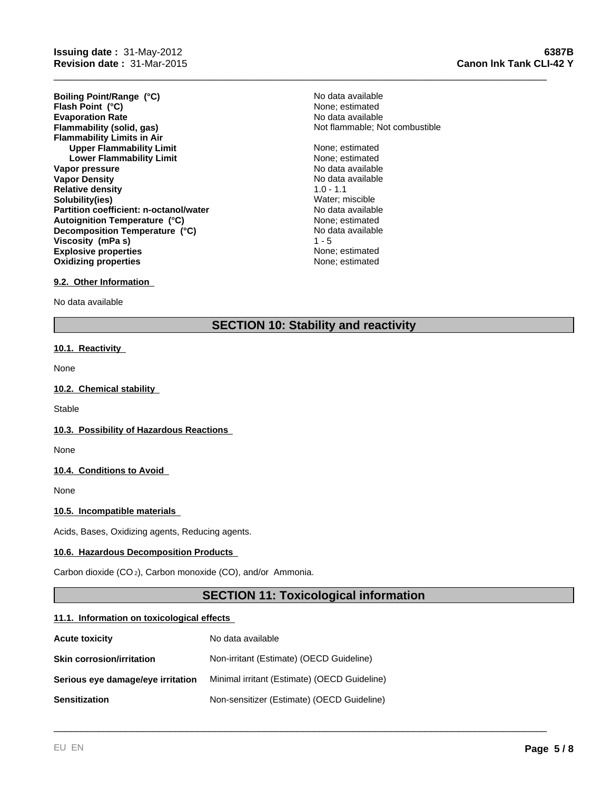**Evaporation Rate Evaporation Rate Evaporation Rate Flammability (solid, gas) No data available Flammability (solid, gas) No data available Flammability Limits in Air Upper Flammability Limit** None; estimated None; estimated None; estimated None; estimated None; estimated None; estimated None; estimated None; estimated None; estimated None; estimated None; estimated None; estimated Non **Lower Flammability Limit Vapor pressure** No data available No data available **Vapor Density No data available** No data available **Relative density** 1.0 - 1.1 **Solubility(ies)** Water; miscible **Partition coefficient: n-octanol/water** No data available<br> **Autoignition Temperature (°C)** None: estimated **Explosive properties None**; estimated **Oxidizing properties None; estimated None; estimated Boiling Point/Range (°C)** No data available **Flash Point** (°C)  $\overline{C}$  1  $\overline{C}$  1  $\overline{C}$  1  $\overline{C}$  2  $\overline{C}$  1  $\overline{C}$  1  $\overline{C}$  1  $\overline{C}$  1  $\overline{C}$  1  $\overline{C}$  1  $\overline{C}$  1  $\overline{C}$  1  $\overline{C}$  1  $\overline{C}$  1  $\overline{C}$  1  $\overline{C}$  1  $\overline{C}$  1  $\overline{C}$  1  $\overline{$ **Autoignition Temperature (°C) Decomposition Temperature (°C) Viscosity (mPa s)** 

# Not flammable; Not combustible

No data available<br>1 - 5

\_\_\_\_\_\_\_\_\_\_\_\_\_\_\_\_\_\_\_\_\_\_\_\_\_\_\_\_\_\_\_\_\_\_\_\_\_\_\_\_\_\_\_\_\_\_\_\_\_\_\_\_\_\_\_\_\_\_\_\_\_\_\_\_\_\_\_\_\_\_\_\_\_\_\_\_\_\_\_\_\_\_\_\_\_\_\_\_\_

#### **9.2. Other Information**

No data available

## **SECTION 10: Stability and reactivity**

#### **10.1. Reactivity**

None

#### **10.2. Chemical stability**

**Stable** 

#### **10.3. Possibility of Hazardous Reactions**

None

#### **10.4. Conditions to Avoid**

None

#### **10.5. Incompatible materials**

Acids, Bases, Oxidizing agents, Reducing agents.

#### **10.6. Hazardous Decomposition Products**

Carbon dioxide (CO 2), Carbon monoxide (CO), and/or Ammonia.

## **SECTION 11: Toxicological information**

\_\_\_\_\_\_\_\_\_\_\_\_\_\_\_\_\_\_\_\_\_\_\_\_\_\_\_\_\_\_\_\_\_\_\_\_\_\_\_\_\_\_\_\_\_\_\_\_\_\_\_\_\_\_\_\_\_\_\_\_\_\_\_\_\_\_\_\_\_\_\_\_\_\_\_\_\_\_\_\_\_\_\_\_\_\_\_\_\_

#### **11.1. Information on toxicological effects**

| <b>Acute toxicity</b>             | No data available                            |
|-----------------------------------|----------------------------------------------|
| <b>Skin corrosion/irritation</b>  | Non-irritant (Estimate) (OECD Guideline)     |
| Serious eye damage/eye irritation | Minimal irritant (Estimate) (OECD Guideline) |
| <b>Sensitization</b>              | Non-sensitizer (Estimate) (OECD Guideline)   |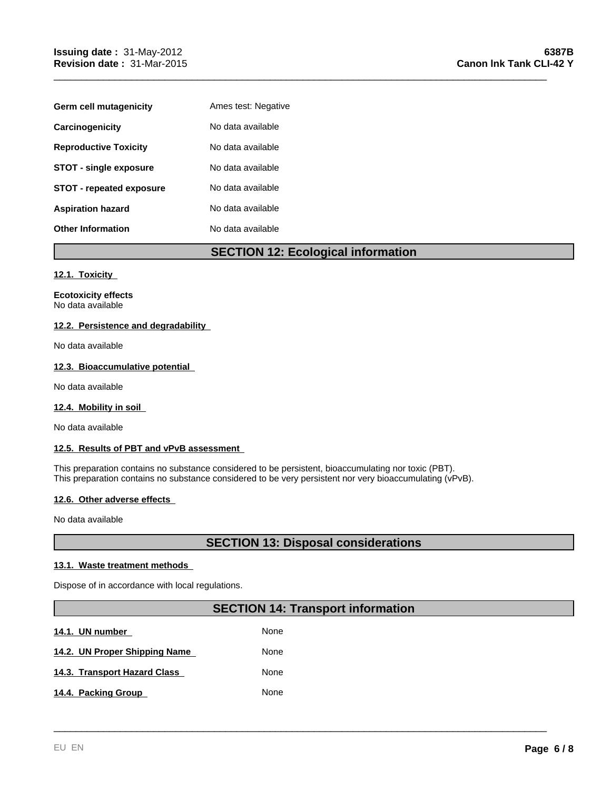| Germ cell mutagenicity          | Ames test: Negative |
|---------------------------------|---------------------|
| Carcinogenicity                 | No data available   |
| <b>Reproductive Toxicity</b>    | No data available   |
| <b>STOT - single exposure</b>   | No data available   |
| <b>STOT - repeated exposure</b> | No data available   |
| <b>Aspiration hazard</b>        | No data available   |
| <b>Other Information</b>        | No data available   |

## **SECTION 12: Ecological information**

\_\_\_\_\_\_\_\_\_\_\_\_\_\_\_\_\_\_\_\_\_\_\_\_\_\_\_\_\_\_\_\_\_\_\_\_\_\_\_\_\_\_\_\_\_\_\_\_\_\_\_\_\_\_\_\_\_\_\_\_\_\_\_\_\_\_\_\_\_\_\_\_\_\_\_\_\_\_\_\_\_\_\_\_\_\_\_\_\_

#### **12.1. Toxicity**

**Ecotoxicity effects** No data available

#### **12.2. Persistence and degradability**

No data available

#### **12.3. Bioaccumulative potential**

No data available

#### **12.4. Mobility in soil**

No data available

#### **12.5. Results of PBT and vPvB assessment**

This preparation contains no substance considered to be persistent, bioaccumulating nor toxic (PBT). This preparation contains no substance considered to be very persistent nor very bioaccumulating (vPvB).

#### **12.6. Other adverse effects**

No data available

## **SECTION 13: Disposal considerations**

#### **13.1. Waste treatment methods**

Dispose of in accordance with local regulations.

## **SECTION 14: Transport information**

\_\_\_\_\_\_\_\_\_\_\_\_\_\_\_\_\_\_\_\_\_\_\_\_\_\_\_\_\_\_\_\_\_\_\_\_\_\_\_\_\_\_\_\_\_\_\_\_\_\_\_\_\_\_\_\_\_\_\_\_\_\_\_\_\_\_\_\_\_\_\_\_\_\_\_\_\_\_\_\_\_\_\_\_\_\_\_\_\_

**14.1. UN number 14.1. None** 14.2. UN Proper Shipping Name **None** None **14.3. Transport Hazard Class None** 14.4. Packing Group None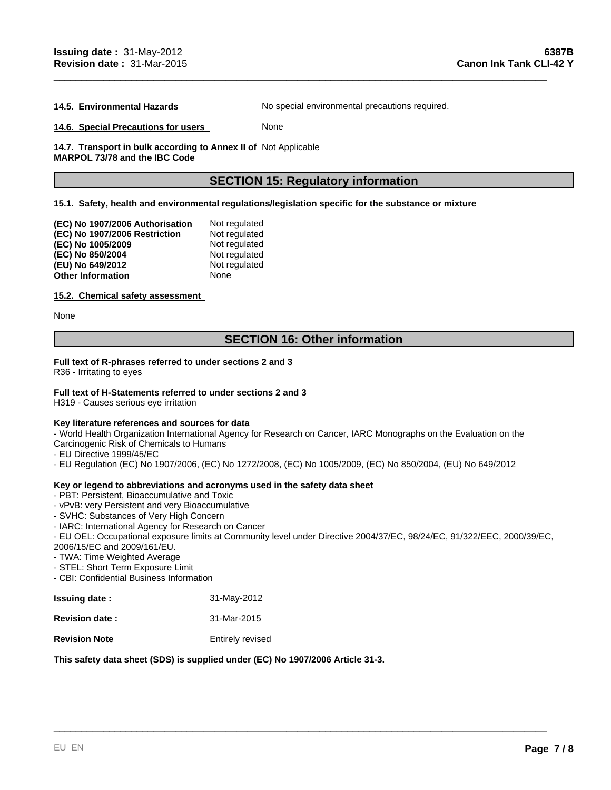**14.5. Environmental Hazards** No special environmental precautions required.

\_\_\_\_\_\_\_\_\_\_\_\_\_\_\_\_\_\_\_\_\_\_\_\_\_\_\_\_\_\_\_\_\_\_\_\_\_\_\_\_\_\_\_\_\_\_\_\_\_\_\_\_\_\_\_\_\_\_\_\_\_\_\_\_\_\_\_\_\_\_\_\_\_\_\_\_\_\_\_\_\_\_\_\_\_\_\_\_\_

**14.6. Special Precautions for users** None

14.7. Transport in bulk according to Annex II of Not Applicable **MARPOL 73/78 and the IBC Code** 

## **SECTION 15: Regulatory information**

#### **15.1. Safety, health and environmental regulations/legislation specific for the substance or mixture**

| (EC) No 1907/2006 Authorisation | Not regulated |
|---------------------------------|---------------|
| (EC) No 1907/2006 Restriction   | Not regulated |
| (EC) No 1005/2009               | Not regulated |
| (EC) No 850/2004                | Not regulated |
| (EU) No 649/2012                | Not regulated |
| <b>Other Information</b>        | None          |

#### **15.2. Chemical safety assessment**

None

## **SECTION 16: Other information**

#### **Full text of R-phrases referred to under sections 2 and 3**

R36 - Irritating to eyes

#### **Full text of H-Statements referred to under sections 2 and 3**

H319 - Causes serious eye irritation

#### **Key literature references and sources for data**

- World Health Organization International Agency for Research on Cancer, IARC Monographs on the Evaluation on the Carcinogenic Risk of Chemicals to Humans

- EU Directive 1999/45/EC
- EU Regulation (EC) No 1907/2006, (EC) No 1272/2008, (EC) No 1005/2009, (EC) No 850/2004, (EU) No 649/2012

#### **Key or legend to abbreviations and acronyms used in the safety data sheet**

- PBT: Persistent, Bioaccumulative and Toxic
- vPvB: very Persistent and very Bioaccumulative
- SVHC: Substances of Very High Concern
- IARC: International Agency for Research on Cancer

- EU OEL: Occupational exposure limits at Community level under Directive 2004/37/EC, 98/24/EC, 91/322/EEC, 2000/39/EC, 2006/15/EC and 2009/161/EU.

\_\_\_\_\_\_\_\_\_\_\_\_\_\_\_\_\_\_\_\_\_\_\_\_\_\_\_\_\_\_\_\_\_\_\_\_\_\_\_\_\_\_\_\_\_\_\_\_\_\_\_\_\_\_\_\_\_\_\_\_\_\_\_\_\_\_\_\_\_\_\_\_\_\_\_\_\_\_\_\_\_\_\_\_\_\_\_\_\_

- TWA: Time Weighted Average
- STEL: Short Term Exposure Limit
- CBI: Confidential Business Information

| <b>Issuing date:</b>  | 31-May-2012      |
|-----------------------|------------------|
| <b>Revision date:</b> | 31-Mar-2015      |
| <b>Revision Note</b>  | Entirely revised |

#### **This safety data sheet (SDS) is supplied under (EC) No 1907/2006 Article 31-3.**